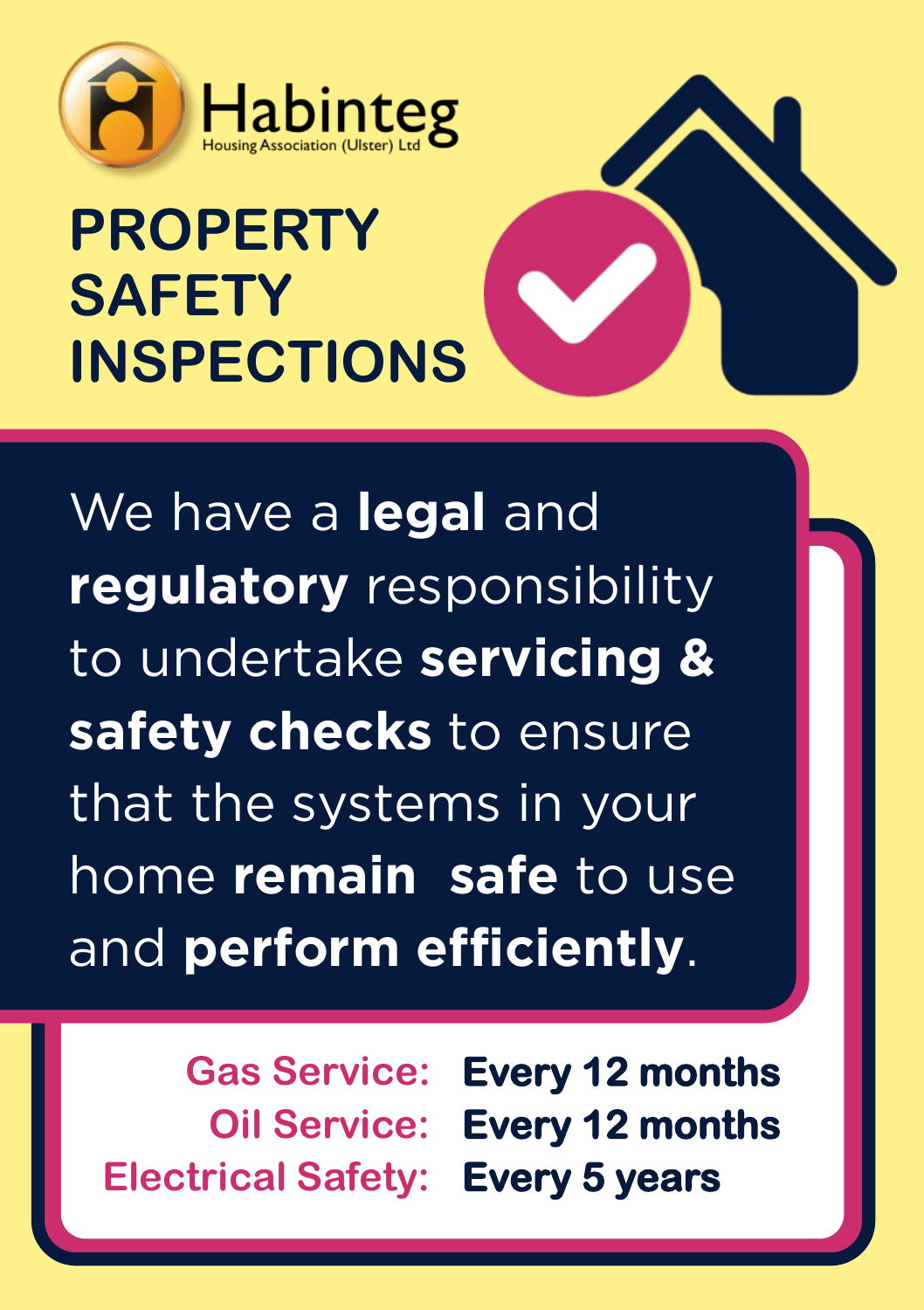

## **PROPERTY SAFETY INSPECTIONS**



We have a **legal** and<br>**regulatory** responsibility to undertake servicing & safety checks to ensure that the systems in your home remain safe to use and perform efficiently. and **perform efficiently**.

**Electrical Safety: Every 5 years**

**Gas Service: Every 12 months Oil Service: Every 12 months**